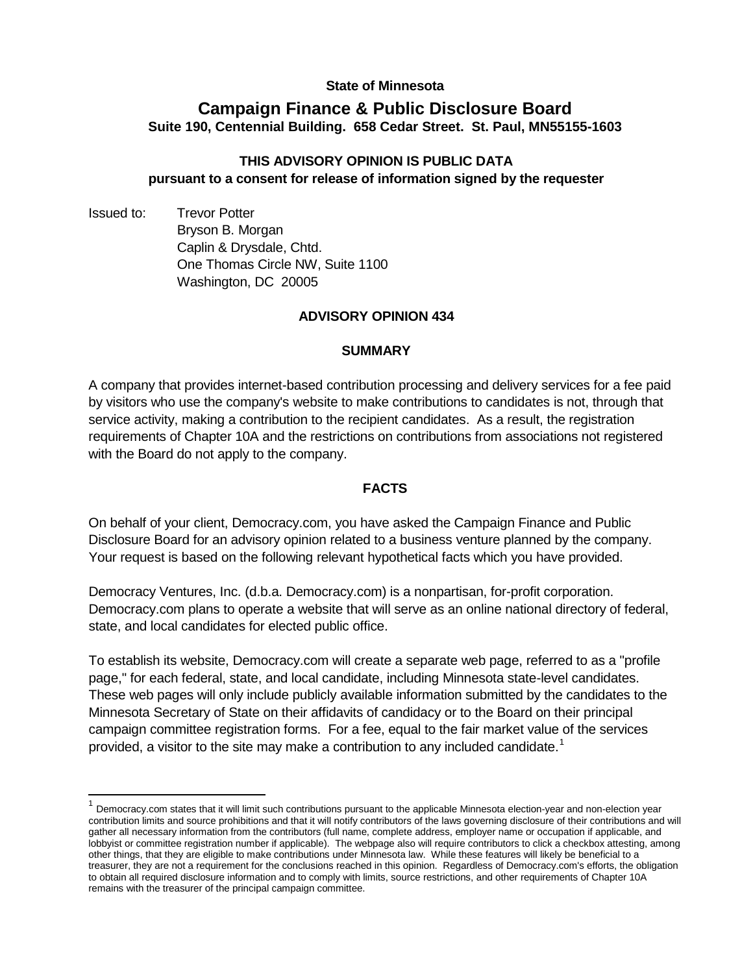### **State of Minnesota**

# **Campaign Finance & Public Disclosure Board Suite 190, Centennial Building. 658 Cedar Street. St. Paul, MN55155-1603**

## **THIS ADVISORY OPINION IS PUBLIC DATA pursuant to a consent for release of information signed by the requester**

Issued to: Trevor Potter Bryson B. Morgan Caplin & Drysdale, Chtd. One Thomas Circle NW, Suite 1100 Washington, DC 20005

### **ADVISORY OPINION 434**

#### **SUMMARY**

A company that provides internet-based contribution processing and delivery services for a fee paid by visitors who use the company's website to make contributions to candidates is not, through that service activity, making a contribution to the recipient candidates. As a result, the registration requirements of Chapter 10A and the restrictions on contributions from associations not registered with the Board do not apply to the company.

#### **FACTS**

On behalf of your client, Democracy.com, you have asked the Campaign Finance and Public Disclosure Board for an advisory opinion related to a business venture planned by the company. Your request is based on the following relevant hypothetical facts which you have provided.

Democracy Ventures, Inc. (d.b.a. Democracy.com) is a nonpartisan, for-profit corporation. Democracy.com plans to operate a website that will serve as an online national directory of federal, state, and local candidates for elected public office.

To establish its website, Democracy.com will create a separate web page, referred to as a "profile page," for each federal, state, and local candidate, including Minnesota state-level candidates. These web pages will only include publicly available information submitted by the candidates to the Minnesota Secretary of State on their affidavits of candidacy or to the Board on their principal campaign committee registration forms. For a fee, equal to the fair market value of the services provided, a visitor to the site may make a contribution to any included candidate.<sup>[1](#page-0-0)</sup>

<span id="page-0-0"></span> <sup>1</sup> Democracy.com states that it will limit such contributions pursuant to the applicable Minnesota election-year and non-election year contribution limits and source prohibitions and that it will notify contributors of the laws governing disclosure of their contributions and will gather all necessary information from the contributors (full name, complete address, employer name or occupation if applicable, and lobbyist or committee registration number if applicable). The webpage also will require contributors to click a checkbox attesting, among other things, that they are eligible to make contributions under Minnesota law. While these features will likely be beneficial to a treasurer, they are not a requirement for the conclusions reached in this opinion. Regardless of Democracy.com's efforts, the obligation to obtain all required disclosure information and to comply with limits, source restrictions, and other requirements of Chapter 10A remains with the treasurer of the principal campaign committee.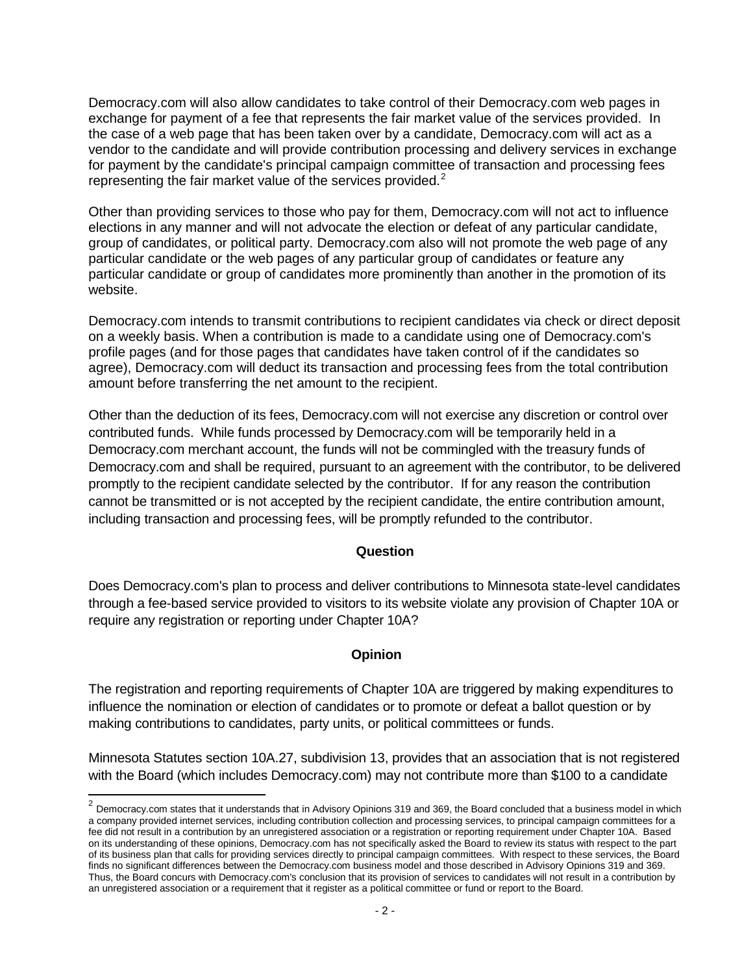Democracy.com will also allow candidates to take control of their Democracy.com web pages in exchange for payment of a fee that represents the fair market value of the services provided. In the case of a web page that has been taken over by a candidate, Democracy.com will act as a vendor to the candidate and will provide contribution processing and delivery services in exchange for payment by the candidate's principal campaign committee of transaction and processing fees representing the fair market value of the services provided. $2$ 

Other than providing services to those who pay for them, Democracy.com will not act to influence elections in any manner and will not advocate the election or defeat of any particular candidate, group of candidates, or political party. Democracy.com also will not promote the web page of any particular candidate or the web pages of any particular group of candidates or feature any particular candidate or group of candidates more prominently than another in the promotion of its website.

Democracy.com intends to transmit contributions to recipient candidates via check or direct deposit on a weekly basis. When a contribution is made to a candidate using one of Democracy.com's profile pages (and for those pages that candidates have taken control of if the candidates so agree), Democracy.com will deduct its transaction and processing fees from the total contribution amount before transferring the net amount to the recipient.

Other than the deduction of its fees, Democracy.com will not exercise any discretion or control over contributed funds. While funds processed by Democracy.com will be temporarily held in a Democracy.com merchant account, the funds will not be commingled with the treasury funds of Democracy.com and shall be required, pursuant to an agreement with the contributor, to be delivered promptly to the recipient candidate selected by the contributor. If for any reason the contribution cannot be transmitted or is not accepted by the recipient candidate, the entire contribution amount, including transaction and processing fees, will be promptly refunded to the contributor.

#### **Question**

Does Democracy.com's plan to process and deliver contributions to Minnesota state-level candidates through a fee-based service provided to visitors to its website violate any provision of Chapter 10A or require any registration or reporting under Chapter 10A?

#### **Opinion**

The registration and reporting requirements of Chapter 10A are triggered by making expenditures to influence the nomination or election of candidates or to promote or defeat a ballot question or by making contributions to candidates, party units, or political committees or funds.

Minnesota Statutes section 10A.27, subdivision 13, provides that an association that is not registered with the Board (which includes Democracy.com) may not contribute more than \$100 to a candidate

<span id="page-1-0"></span> $2$  Democracy.com states that it understands that in Advisory Opinions 319 and 369, the Board concluded that a business model in which a company provided internet services, including contribution collection and processing services, to principal campaign committees for a fee did not result in a contribution by an unregistered association or a registration or reporting requirement under Chapter 10A. Based on its understanding of these opinions, Democracy.com has not specifically asked the Board to review its status with respect to the part of its business plan that calls for providing services directly to principal campaign committees. With respect to these services, the Board finds no significant differences between the Democracy.com business model and those described in Advisory Opinions 319 and 369. Thus, the Board concurs with Democracy.com's conclusion that its provision of services to candidates will not result in a contribution by an unregistered association or a requirement that it register as a political committee or fund or report to the Board.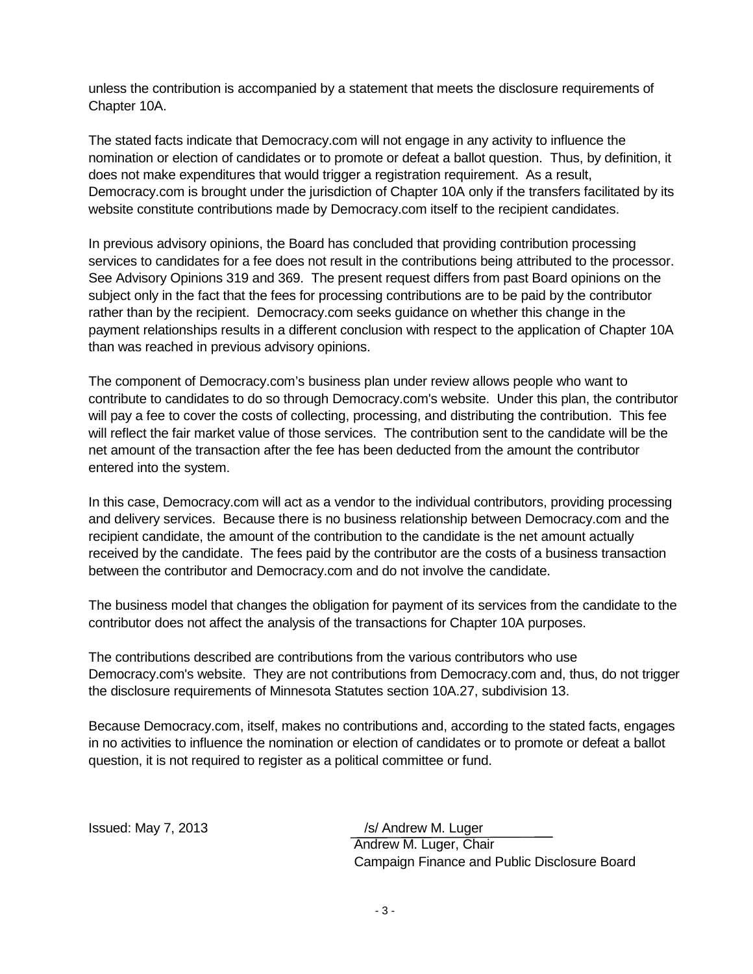unless the contribution is accompanied by a statement that meets the disclosure requirements of Chapter 10A.

The stated facts indicate that Democracy.com will not engage in any activity to influence the nomination or election of candidates or to promote or defeat a ballot question. Thus, by definition, it does not make expenditures that would trigger a registration requirement. As a result, Democracy.com is brought under the jurisdiction of Chapter 10A only if the transfers facilitated by its website constitute contributions made by Democracy.com itself to the recipient candidates.

In previous advisory opinions, the Board has concluded that providing contribution processing services to candidates for a fee does not result in the contributions being attributed to the processor. See Advisory Opinions 319 and 369. The present request differs from past Board opinions on the subject only in the fact that the fees for processing contributions are to be paid by the contributor rather than by the recipient. Democracy.com seeks guidance on whether this change in the payment relationships results in a different conclusion with respect to the application of Chapter 10A than was reached in previous advisory opinions.

The component of Democracy.com's business plan under review allows people who want to contribute to candidates to do so through Democracy.com's website. Under this plan, the contributor will pay a fee to cover the costs of collecting, processing, and distributing the contribution. This fee will reflect the fair market value of those services. The contribution sent to the candidate will be the net amount of the transaction after the fee has been deducted from the amount the contributor entered into the system.

In this case, Democracy.com will act as a vendor to the individual contributors, providing processing and delivery services. Because there is no business relationship between Democracy.com and the recipient candidate, the amount of the contribution to the candidate is the net amount actually received by the candidate. The fees paid by the contributor are the costs of a business transaction between the contributor and Democracy.com and do not involve the candidate.

The business model that changes the obligation for payment of its services from the candidate to the contributor does not affect the analysis of the transactions for Chapter 10A purposes.

The contributions described are contributions from the various contributors who use Democracy.com's website. They are not contributions from Democracy.com and, thus, do not trigger the disclosure requirements of Minnesota Statutes section 10A.27, subdivision 13.

Because Democracy.com, itself, makes no contributions and, according to the stated facts, engages in no activities to influence the nomination or election of candidates or to promote or defeat a ballot question, it is not required to register as a political committee or fund.

Issued: May 7, 2013 */s/ Andrew M. Luger* Andrew M. Luger, Chair Campaign Finance and Public Disclosure Board